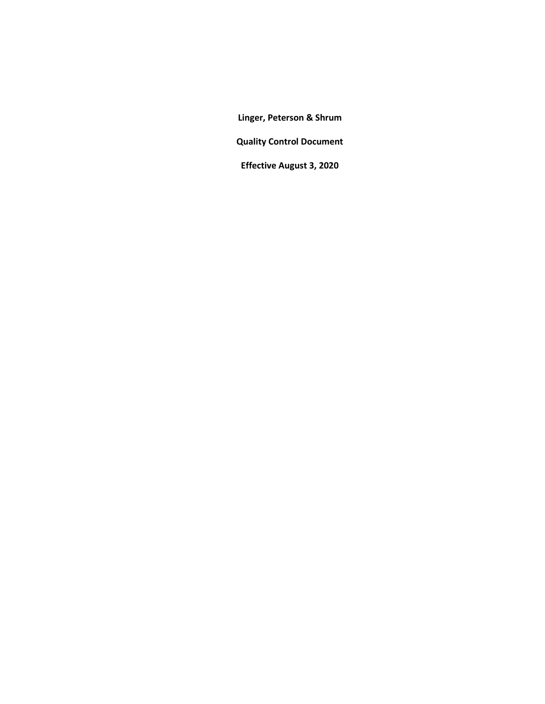**Linger, Peterson & Shrum**

**Quality Control Document**

**Effective August 3, 2020**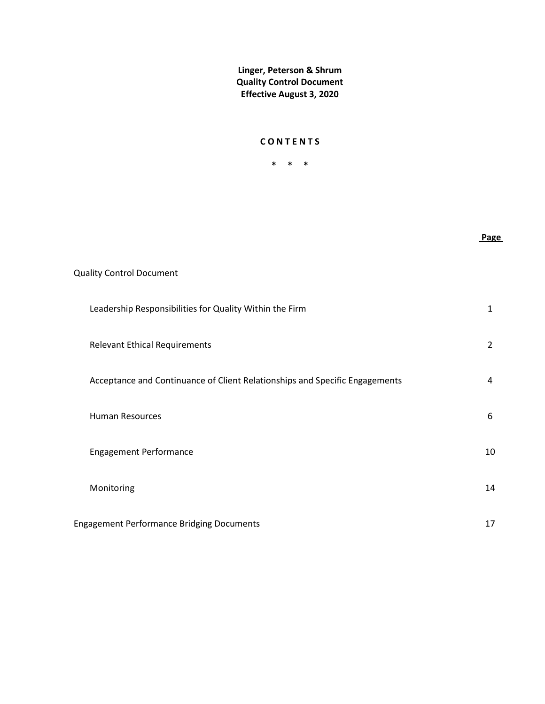### **C O N T E N T S**

**\* \* \***

**Page** 

Quality Control Document Leadership Responsibilities for Quality Within the Firm 1 Relevant Ethical Requirements 2 Acceptance and Continuance of Client Relationships and Specific Engagements 4 Human Resources 6 Engagement Performance 10 Monitoring 14 Engagement Performance Bridging Documents 17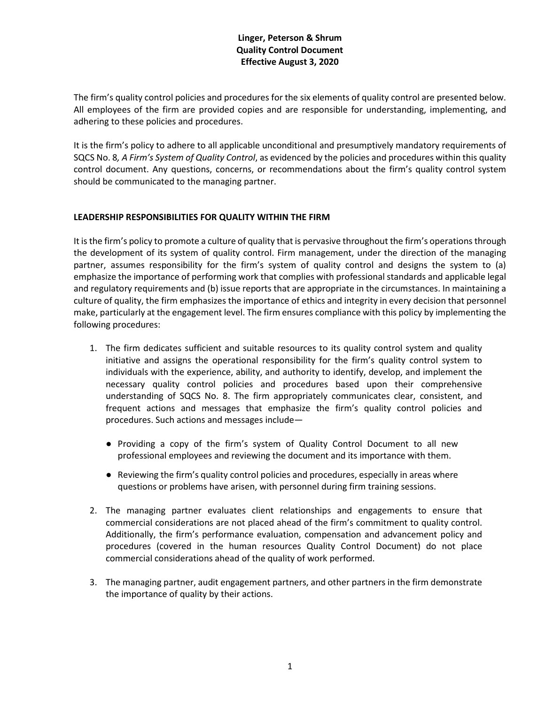The firm's quality control policies and procedures for the six elements of quality control are presented below. All employees of the firm are provided copies and are responsible for understanding, implementing, and adhering to these policies and procedures.

It is the firm's policy to adhere to all applicable unconditional and presumptively mandatory requirements of SQCS No. 8*, A Firm's System of Quality Control*, as evidenced by the policies and procedures within this quality control document. Any questions, concerns, or recommendations about the firm's quality control system should be communicated to the managing partner.

### **LEADERSHIP RESPONSIBILITIES FOR QUALITY WITHIN THE FIRM**

It is the firm's policy to promote a culture of quality that is pervasive throughout the firm's operations through the development of its system of quality control. Firm management, under the direction of the managing partner, assumes responsibility for the firm's system of quality control and designs the system to (a) emphasize the importance of performing work that complies with professional standards and applicable legal and regulatory requirements and (b) issue reports that are appropriate in the circumstances. In maintaining a culture of quality, the firm emphasizes the importance of ethics and integrity in every decision that personnel make, particularly at the engagement level. The firm ensures compliance with this policy by implementing the following procedures:

- 1. The firm dedicates sufficient and suitable resources to its quality control system and quality initiative and assigns the operational responsibility for the firm's quality control system to individuals with the experience, ability, and authority to identify, develop, and implement the necessary quality control policies and procedures based upon their comprehensive understanding of SQCS No. 8. The firm appropriately communicates clear, consistent, and frequent actions and messages that emphasize the firm's quality control policies and procedures. Such actions and messages include—
	- Providing a copy of the firm's system of Quality Control Document to all new professional employees and reviewing the document and its importance with them.
	- Reviewing the firm's quality control policies and procedures, especially in areas where questions or problems have arisen, with personnel during firm training sessions.
- 2. The managing partner evaluates client relationships and engagements to ensure that commercial considerations are not placed ahead of the firm's commitment to quality control. Additionally, the firm's performance evaluation, compensation and advancement policy and procedures (covered in the human resources Quality Control Document) do not place commercial considerations ahead of the quality of work performed.
- 3. The managing partner, audit engagement partners, and other partners in the firm demonstrate the importance of quality by their actions.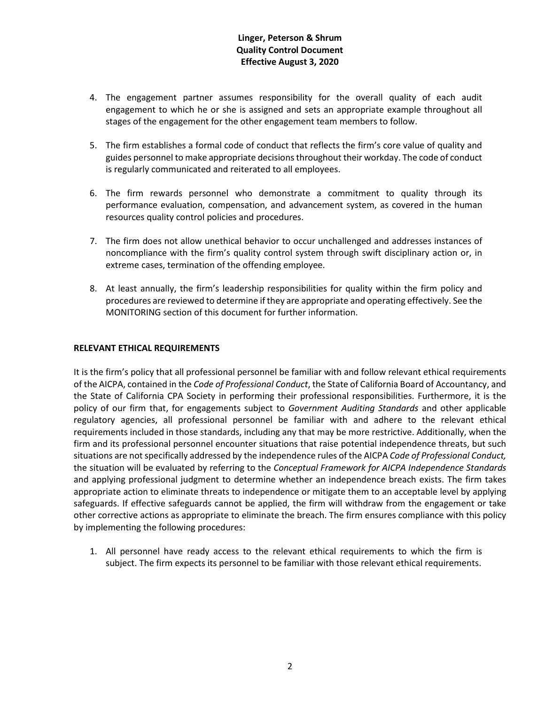- 4. The engagement partner assumes responsibility for the overall quality of each audit engagement to which he or she is assigned and sets an appropriate example throughout all stages of the engagement for the other engagement team members to follow.
- 5. The firm establishes a formal code of conduct that reflects the firm's core value of quality and guides personnel to make appropriate decisions throughout their workday. The code of conduct is regularly communicated and reiterated to all employees.
- 6. The firm rewards personnel who demonstrate a commitment to quality through its performance evaluation, compensation, and advancement system, as covered in the human resources quality control policies and procedures.
- 7. The firm does not allow unethical behavior to occur unchallenged and addresses instances of noncompliance with the firm's quality control system through swift disciplinary action or, in extreme cases, termination of the offending employee.
- 8. At least annually, the firm's leadership responsibilities for quality within the firm policy and procedures are reviewed to determine if they are appropriate and operating effectively. See the MONITORING section of this document for further information.

### **RELEVANT ETHICAL REQUIREMENTS**

It is the firm's policy that all professional personnel be familiar with and follow relevant ethical requirements of the AICPA, contained in the *Code of Professional Conduct*, the State of California Board of Accountancy, and the State of California CPA Society in performing their professional responsibilities. Furthermore, it is the policy of our firm that, for engagements subject to *Government Auditing Standards* and other applicable regulatory agencies, all professional personnel be familiar with and adhere to the relevant ethical requirements included in those standards, including any that may be more restrictive. Additionally, when the firm and its professional personnel encounter situations that raise potential independence threats, but such situations are not specifically addressed by the independence rules of the AICPA *Code of Professional Conduct,*  the situation will be evaluated by referring to the *Conceptual Framework for AICPA Independence Standards*  and applying professional judgment to determine whether an independence breach exists. The firm takes appropriate action to eliminate threats to independence or mitigate them to an acceptable level by applying safeguards. If effective safeguards cannot be applied, the firm will withdraw from the engagement or take other corrective actions as appropriate to eliminate the breach. The firm ensures compliance with this policy by implementing the following procedures:

1. All personnel have ready access to the relevant ethical requirements to which the firm is subject. The firm expects its personnel to be familiar with those relevant ethical requirements.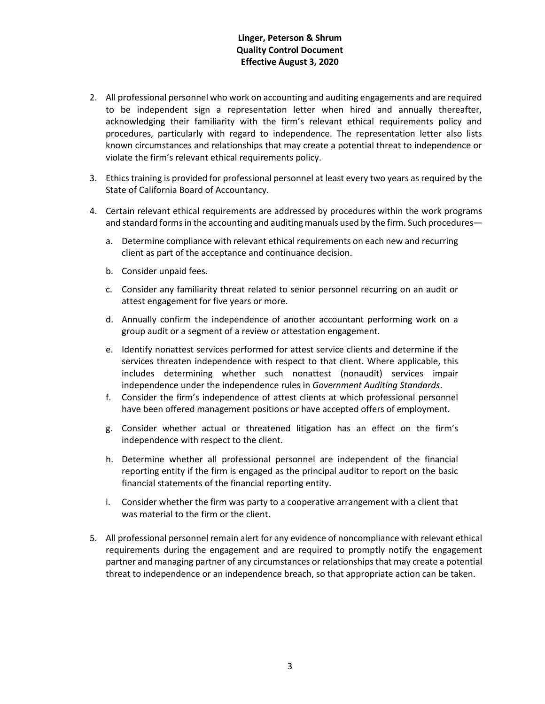- 2. All professional personnel who work on accounting and auditing engagements and are required to be independent sign a representation letter when hired and annually thereafter, acknowledging their familiarity with the firm's relevant ethical requirements policy and procedures, particularly with regard to independence. The representation letter also lists known circumstances and relationships that may create a potential threat to independence or violate the firm's relevant ethical requirements policy.
- 3. Ethics training is provided for professional personnel at least every two years as required by the State of California Board of Accountancy.
- 4. Certain relevant ethical requirements are addressed by procedures within the work programs and standard forms in the accounting and auditing manuals used by the firm. Such procedures
	- a. Determine compliance with relevant ethical requirements on each new and recurring client as part of the acceptance and continuance decision.
	- b. Consider unpaid fees.
	- c. Consider any familiarity threat related to senior personnel recurring on an audit or attest engagement for five years or more.
	- d. Annually confirm the independence of another accountant performing work on a group audit or a segment of a review or attestation engagement.
	- e. Identify nonattest services performed for attest service clients and determine if the services threaten independence with respect to that client. Where applicable, this includes determining whether such nonattest (nonaudit) services impair independence under the independence rules in *Government Auditing Standards*.
	- f. Consider the firm's independence of attest clients at which professional personnel have been offered management positions or have accepted offers of employment.
	- g. Consider whether actual or threatened litigation has an effect on the firm's independence with respect to the client.
	- h. Determine whether all professional personnel are independent of the financial reporting entity if the firm is engaged as the principal auditor to report on the basic financial statements of the financial reporting entity.
	- i. Consider whether the firm was party to a cooperative arrangement with a client that was material to the firm or the client.
- 5. All professional personnel remain alert for any evidence of noncompliance with relevant ethical requirements during the engagement and are required to promptly notify the engagement partner and managing partner of any circumstances or relationships that may create a potential threat to independence or an independence breach, so that appropriate action can be taken.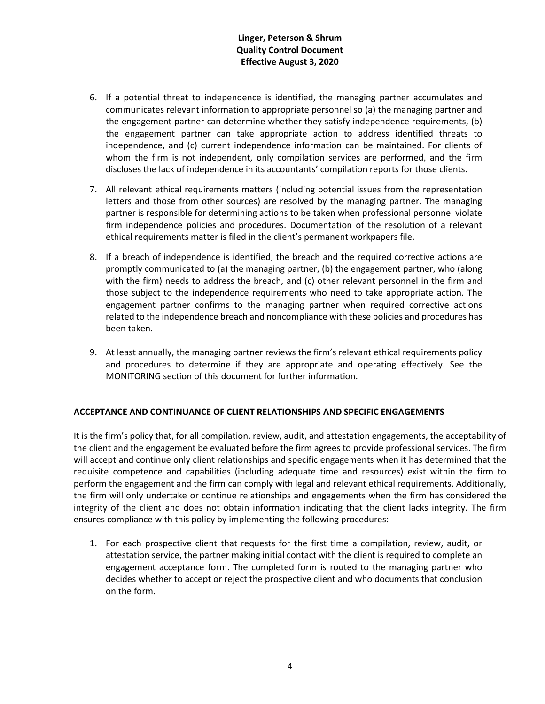- 6. If a potential threat to independence is identified, the managing partner accumulates and communicates relevant information to appropriate personnel so (a) the managing partner and the engagement partner can determine whether they satisfy independence requirements, (b) the engagement partner can take appropriate action to address identified threats to independence, and (c) current independence information can be maintained. For clients of whom the firm is not independent, only compilation services are performed, and the firm discloses the lack of independence in its accountants' compilation reports for those clients.
- 7. All relevant ethical requirements matters (including potential issues from the representation letters and those from other sources) are resolved by the managing partner. The managing partner is responsible for determining actions to be taken when professional personnel violate firm independence policies and procedures. Documentation of the resolution of a relevant ethical requirements matter is filed in the client's permanent workpapers file.
- 8. If a breach of independence is identified, the breach and the required corrective actions are promptly communicated to (a) the managing partner, (b) the engagement partner, who (along with the firm) needs to address the breach, and (c) other relevant personnel in the firm and those subject to the independence requirements who need to take appropriate action. The engagement partner confirms to the managing partner when required corrective actions related to the independence breach and noncompliance with these policies and procedures has been taken.
- 9. At least annually, the managing partner reviews the firm's relevant ethical requirements policy and procedures to determine if they are appropriate and operating effectively. See the MONITORING section of this document for further information.

### **ACCEPTANCE AND CONTINUANCE OF CLIENT RELATIONSHIPS AND SPECIFIC ENGAGEMENTS**

It is the firm's policy that, for all compilation, review, audit, and attestation engagements, the acceptability of the client and the engagement be evaluated before the firm agrees to provide professional services. The firm will accept and continue only client relationships and specific engagements when it has determined that the requisite competence and capabilities (including adequate time and resources) exist within the firm to perform the engagement and the firm can comply with legal and relevant ethical requirements. Additionally, the firm will only undertake or continue relationships and engagements when the firm has considered the integrity of the client and does not obtain information indicating that the client lacks integrity. The firm ensures compliance with this policy by implementing the following procedures:

1. For each prospective client that requests for the first time a compilation, review, audit, or attestation service, the partner making initial contact with the client is required to complete an engagement acceptance form. The completed form is routed to the managing partner who decides whether to accept or reject the prospective client and who documents that conclusion on the form.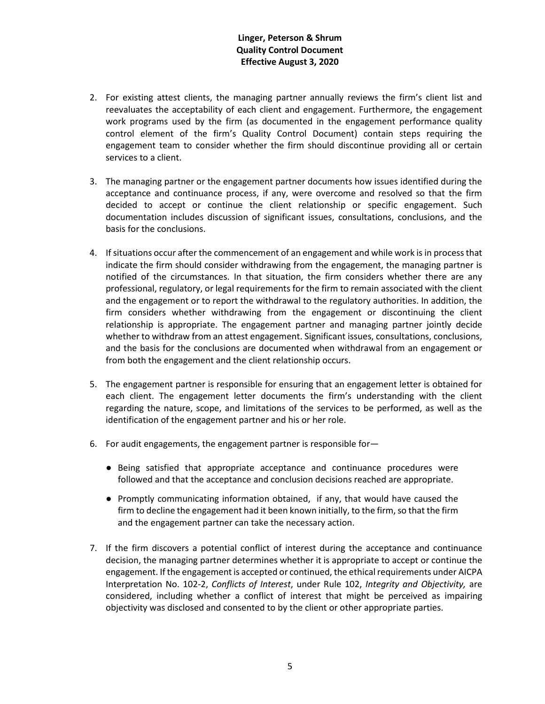- 2. For existing attest clients, the managing partner annually reviews the firm's client list and reevaluates the acceptability of each client and engagement. Furthermore, the engagement work programs used by the firm (as documented in the engagement performance quality control element of the firm's Quality Control Document) contain steps requiring the engagement team to consider whether the firm should discontinue providing all or certain services to a client.
- 3. The managing partner or the engagement partner documents how issues identified during the acceptance and continuance process, if any, were overcome and resolved so that the firm decided to accept or continue the client relationship or specific engagement. Such documentation includes discussion of significant issues, consultations, conclusions, and the basis for the conclusions.
- 4. If situations occur after the commencement of an engagement and while work is in process that indicate the firm should consider withdrawing from the engagement, the managing partner is notified of the circumstances. In that situation, the firm considers whether there are any professional, regulatory, or legal requirements for the firm to remain associated with the client and the engagement or to report the withdrawal to the regulatory authorities. In addition, the firm considers whether withdrawing from the engagement or discontinuing the client relationship is appropriate. The engagement partner and managing partner jointly decide whether to withdraw from an attest engagement. Significant issues, consultations, conclusions, and the basis for the conclusions are documented when withdrawal from an engagement or from both the engagement and the client relationship occurs.
- 5. The engagement partner is responsible for ensuring that an engagement letter is obtained for each client. The engagement letter documents the firm's understanding with the client regarding the nature, scope, and limitations of the services to be performed, as well as the identification of the engagement partner and his or her role.
- 6. For audit engagements, the engagement partner is responsible for—
	- Being satisfied that appropriate acceptance and continuance procedures were followed and that the acceptance and conclusion decisions reached are appropriate.
	- Promptly communicating information obtained, if any, that would have caused the firm to decline the engagement had it been known initially, to the firm, so that the firm and the engagement partner can take the necessary action.
- 7. If the firm discovers a potential conflict of interest during the acceptance and continuance decision, the managing partner determines whether it is appropriate to accept or continue the engagement. If the engagement is accepted or continued, the ethical requirements under AICPA Interpretation No. 102-2, *Conflicts of Interest*, under Rule 102, *Integrity and Objectivity,* are considered, including whether a conflict of interest that might be perceived as impairing objectivity was disclosed and consented to by the client or other appropriate parties.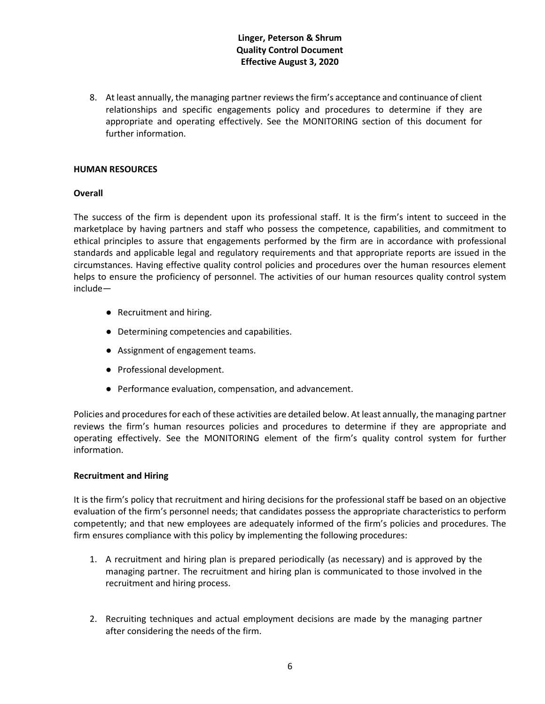8. At least annually, the managing partner reviews the firm's acceptance and continuance of client relationships and specific engagements policy and procedures to determine if they are appropriate and operating effectively. See the MONITORING section of this document for further information.

#### **HUMAN RESOURCES**

#### **Overall**

The success of the firm is dependent upon its professional staff. It is the firm's intent to succeed in the marketplace by having partners and staff who possess the competence, capabilities, and commitment to ethical principles to assure that engagements performed by the firm are in accordance with professional standards and applicable legal and regulatory requirements and that appropriate reports are issued in the circumstances. Having effective quality control policies and procedures over the human resources element helps to ensure the proficiency of personnel. The activities of our human resources quality control system include—

- Recruitment and hiring.
- Determining competencies and capabilities.
- Assignment of engagement teams.
- Professional development.
- Performance evaluation, compensation, and advancement.

Policies and procedures for each of these activities are detailed below. At least annually, the managing partner reviews the firm's human resources policies and procedures to determine if they are appropriate and operating effectively. See the MONITORING element of the firm's quality control system for further information.

#### **Recruitment and Hiring**

It is the firm's policy that recruitment and hiring decisions for the professional staff be based on an objective evaluation of the firm's personnel needs; that candidates possess the appropriate characteristics to perform competently; and that new employees are adequately informed of the firm's policies and procedures. The firm ensures compliance with this policy by implementing the following procedures:

- 1. A recruitment and hiring plan is prepared periodically (as necessary) and is approved by the managing partner. The recruitment and hiring plan is communicated to those involved in the recruitment and hiring process.
- 2. Recruiting techniques and actual employment decisions are made by the managing partner after considering the needs of the firm.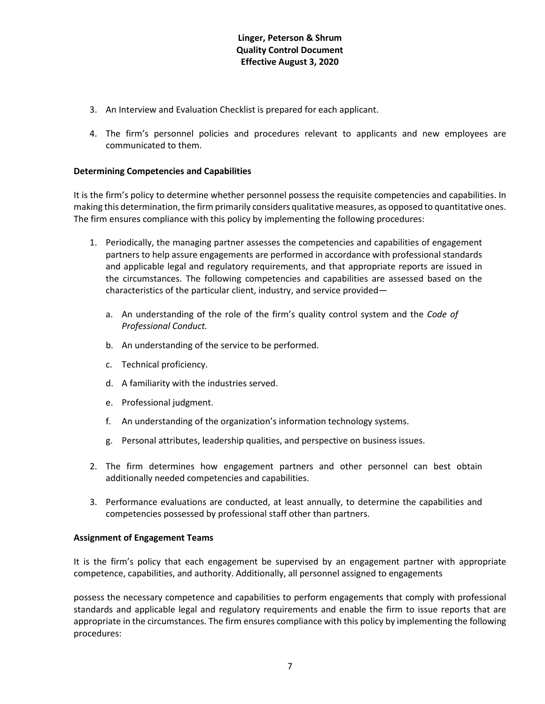- 3. An Interview and Evaluation Checklist is prepared for each applicant.
- 4. The firm's personnel policies and procedures relevant to applicants and new employees are communicated to them.

### **Determining Competencies and Capabilities**

It is the firm's policy to determine whether personnel possess the requisite competencies and capabilities. In making this determination, the firm primarily considers qualitative measures, as opposed to quantitative ones. The firm ensures compliance with this policy by implementing the following procedures:

- 1. Periodically, the managing partner assesses the competencies and capabilities of engagement partners to help assure engagements are performed in accordance with professional standards and applicable legal and regulatory requirements, and that appropriate reports are issued in the circumstances. The following competencies and capabilities are assessed based on the characteristics of the particular client, industry, and service provided
	- a. An understanding of the role of the firm's quality control system and the *Code of Professional Conduct.*
	- b. An understanding of the service to be performed.
	- c. Technical proficiency.
	- d. A familiarity with the industries served.
	- e. Professional judgment.
	- f. An understanding of the organization's information technology systems.
	- g. Personal attributes, leadership qualities, and perspective on business issues.
- 2. The firm determines how engagement partners and other personnel can best obtain additionally needed competencies and capabilities.
- 3. Performance evaluations are conducted, at least annually, to determine the capabilities and competencies possessed by professional staff other than partners.

### **Assignment of Engagement Teams**

It is the firm's policy that each engagement be supervised by an engagement partner with appropriate competence, capabilities, and authority. Additionally, all personnel assigned to engagements

possess the necessary competence and capabilities to perform engagements that comply with professional standards and applicable legal and regulatory requirements and enable the firm to issue reports that are appropriate in the circumstances. The firm ensures compliance with this policy by implementing the following procedures: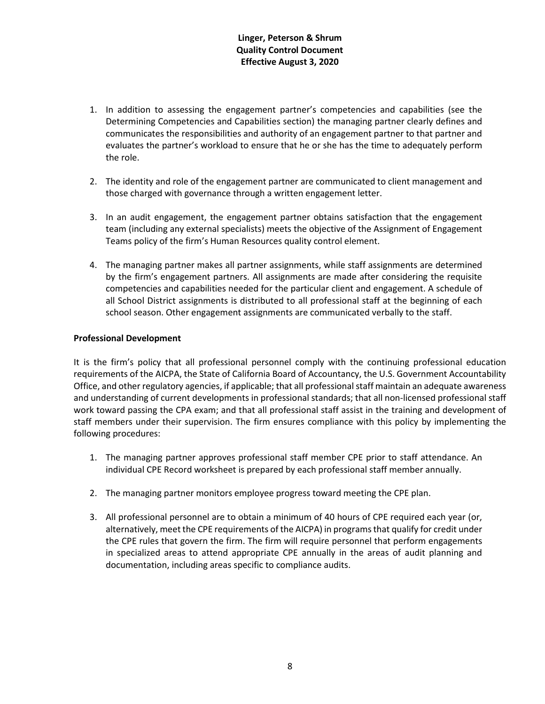- 1. In addition to assessing the engagement partner's competencies and capabilities (see the Determining Competencies and Capabilities section) the managing partner clearly defines and communicates the responsibilities and authority of an engagement partner to that partner and evaluates the partner's workload to ensure that he or she has the time to adequately perform the role.
- 2. The identity and role of the engagement partner are communicated to client management and those charged with governance through a written engagement letter.
- 3. In an audit engagement, the engagement partner obtains satisfaction that the engagement team (including any external specialists) meets the objective of the Assignment of Engagement Teams policy of the firm's Human Resources quality control element.
- 4. The managing partner makes all partner assignments, while staff assignments are determined by the firm's engagement partners. All assignments are made after considering the requisite competencies and capabilities needed for the particular client and engagement. A schedule of all School District assignments is distributed to all professional staff at the beginning of each school season. Other engagement assignments are communicated verbally to the staff.

### **Professional Development**

It is the firm's policy that all professional personnel comply with the continuing professional education requirements of the AICPA, the State of California Board of Accountancy, the U.S. Government Accountability Office, and other regulatory agencies, if applicable; that all professional staff maintain an adequate awareness and understanding of current developments in professional standards; that all non-licensed professional staff work toward passing the CPA exam; and that all professional staff assist in the training and development of staff members under their supervision. The firm ensures compliance with this policy by implementing the following procedures:

- 1. The managing partner approves professional staff member CPE prior to staff attendance. An individual CPE Record worksheet is prepared by each professional staff member annually.
- 2. The managing partner monitors employee progress toward meeting the CPE plan.
- 3. All professional personnel are to obtain a minimum of 40 hours of CPE required each year (or, alternatively, meet the CPE requirements of the AICPA) in programs that qualify for credit under the CPE rules that govern the firm. The firm will require personnel that perform engagements in specialized areas to attend appropriate CPE annually in the areas of audit planning and documentation, including areas specific to compliance audits.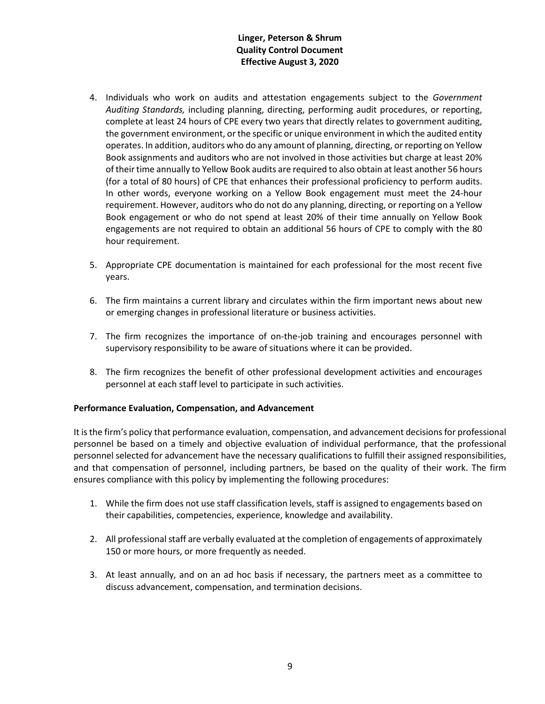- 4. Individuals who work on audits and attestation engagements subject to the *Government Auditing Standards,* including planning, directing, performing audit procedures, or reporting, complete at least 24 hours of CPE every two years that directly relates to government auditing, the government environment, or the specific or unique environment in which the audited entity operates. In addition, auditors who do any amount of planning, directing, or reporting on Yellow Book assignments and auditors who are not involved in those activities but charge at least 20% of their time annually to Yellow Book audits are required to also obtain at least another 56 hours (for a total of 80 hours) of CPE that enhances their professional proficiency to perform audits. In other words, everyone working on a Yellow Book engagement must meet the 24-hour requirement. However, auditors who do not do any planning, directing, or reporting on a Yellow Book engagement or who do not spend at least 20% of their time annually on Yellow Book engagements are not required to obtain an additional 56 hours of CPE to comply with the 80 hour requirement.
- 5. Appropriate CPE documentation is maintained for each professional for the most recent five years.
- 6. The firm maintains a current library and circulates within the firm important news about new or emerging changes in professional literature or business activities.
- 7. The firm recognizes the importance of on-the-job training and encourages personnel with supervisory responsibility to be aware of situations where it can be provided.
- 8. The firm recognizes the benefit of other professional development activities and encourages personnel at each staff level to participate in such activities.

### **Performance Evaluation, Compensation, and Advancement**

It is the firm's policy that performance evaluation, compensation, and advancement decisions for professional personnel be based on a timely and objective evaluation of individual performance, that the professional personnel selected for advancement have the necessary qualifications to fulfill their assigned responsibilities, and that compensation of personnel, including partners, be based on the quality of their work. The firm ensures compliance with this policy by implementing the following procedures:

- 1. While the firm does not use staff classification levels, staff is assigned to engagements based on their capabilities, competencies, experience, knowledge and availability.
- 2. All professional staff are verbally evaluated at the completion of engagements of approximately 150 or more hours, or more frequently as needed.
- 3. At least annually, and on an ad hoc basis if necessary, the partners meet as a committee to discuss advancement, compensation, and termination decisions.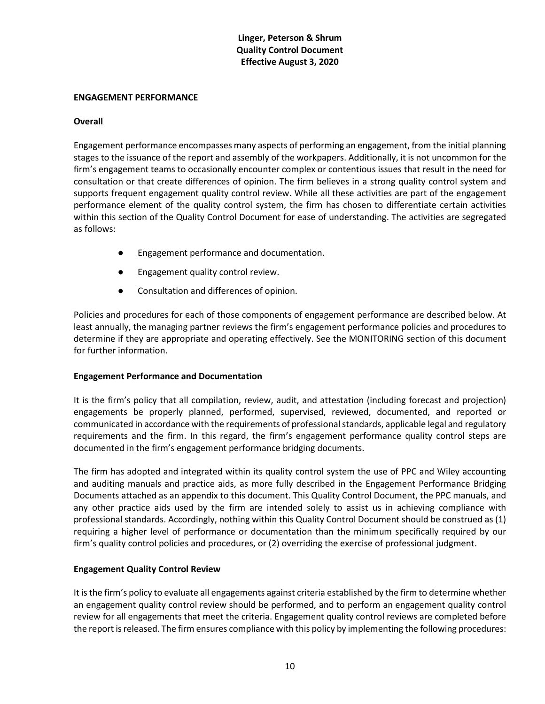#### **ENGAGEMENT PERFORMANCE**

#### **Overall**

Engagement performance encompasses many aspects of performing an engagement, from the initial planning stages to the issuance of the report and assembly of the workpapers. Additionally, it is not uncommon for the firm's engagement teams to occasionally encounter complex or contentious issues that result in the need for consultation or that create differences of opinion. The firm believes in a strong quality control system and supports frequent engagement quality control review. While all these activities are part of the engagement performance element of the quality control system, the firm has chosen to differentiate certain activities within this section of the Quality Control Document for ease of understanding. The activities are segregated as follows:

- Engagement performance and documentation.
- Engagement quality control review.
- Consultation and differences of opinion.

Policies and procedures for each of those components of engagement performance are described below. At least annually, the managing partner reviews the firm's engagement performance policies and procedures to determine if they are appropriate and operating effectively. See the MONITORING section of this document for further information.

### **Engagement Performance and Documentation**

It is the firm's policy that all compilation, review, audit, and attestation (including forecast and projection) engagements be properly planned, performed, supervised, reviewed, documented, and reported or communicated in accordance with the requirements of professional standards, applicable legal and regulatory requirements and the firm. In this regard, the firm's engagement performance quality control steps are documented in the firm's engagement performance bridging documents.

The firm has adopted and integrated within its quality control system the use of PPC and Wiley accounting and auditing manuals and practice aids, as more fully described in the Engagement Performance Bridging Documents attached as an appendix to this document. This Quality Control Document, the PPC manuals, and any other practice aids used by the firm are intended solely to assist us in achieving compliance with professional standards. Accordingly, nothing within this Quality Control Document should be construed as (1) requiring a higher level of performance or documentation than the minimum specifically required by our firm's quality control policies and procedures, or (2) overriding the exercise of professional judgment.

### **Engagement Quality Control Review**

It is the firm's policy to evaluate all engagements against criteria established by the firm to determine whether an engagement quality control review should be performed, and to perform an engagement quality control review for all engagements that meet the criteria. Engagement quality control reviews are completed before the report is released. The firm ensures compliance with this policy by implementing the following procedures: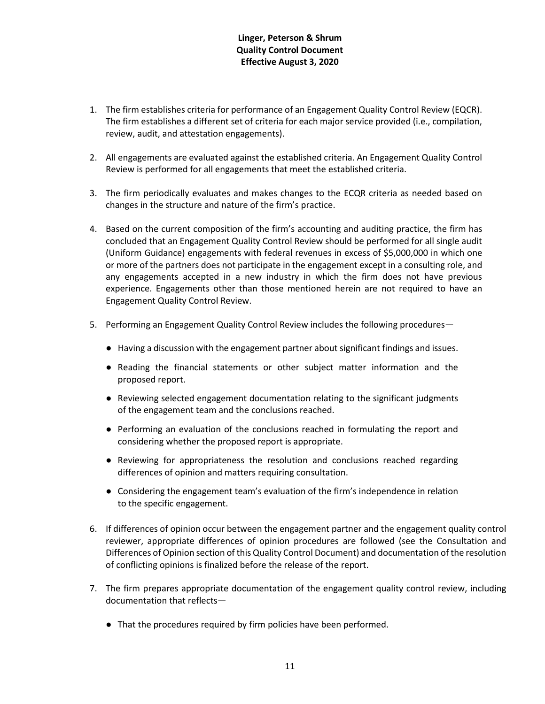- 1. The firm establishes criteria for performance of an Engagement Quality Control Review (EQCR). The firm establishes a different set of criteria for each major service provided (i.e., compilation, review, audit, and attestation engagements).
- 2. All engagements are evaluated against the established criteria. An Engagement Quality Control Review is performed for all engagements that meet the established criteria.
- 3. The firm periodically evaluates and makes changes to the ECQR criteria as needed based on changes in the structure and nature of the firm's practice.
- 4. Based on the current composition of the firm's accounting and auditing practice, the firm has concluded that an Engagement Quality Control Review should be performed for all single audit (Uniform Guidance) engagements with federal revenues in excess of \$5,000,000 in which one or more of the partners does not participate in the engagement except in a consulting role, and any engagements accepted in a new industry in which the firm does not have previous experience. Engagements other than those mentioned herein are not required to have an Engagement Quality Control Review.
- 5. Performing an Engagement Quality Control Review includes the following procedures—
	- Having a discussion with the engagement partner about significant findings and issues.
	- Reading the financial statements or other subject matter information and the proposed report.
	- Reviewing selected engagement documentation relating to the significant judgments of the engagement team and the conclusions reached.
	- Performing an evaluation of the conclusions reached in formulating the report and considering whether the proposed report is appropriate.
	- Reviewing for appropriateness the resolution and conclusions reached regarding differences of opinion and matters requiring consultation.
	- Considering the engagement team's evaluation of the firm's independence in relation to the specific engagement.
- 6. If differences of opinion occur between the engagement partner and the engagement quality control reviewer, appropriate differences of opinion procedures are followed (see the Consultation and Differences of Opinion section of this Quality Control Document) and documentation of the resolution of conflicting opinions is finalized before the release of the report.
- 7. The firm prepares appropriate documentation of the engagement quality control review, including documentation that reflects—
	- That the procedures required by firm policies have been performed.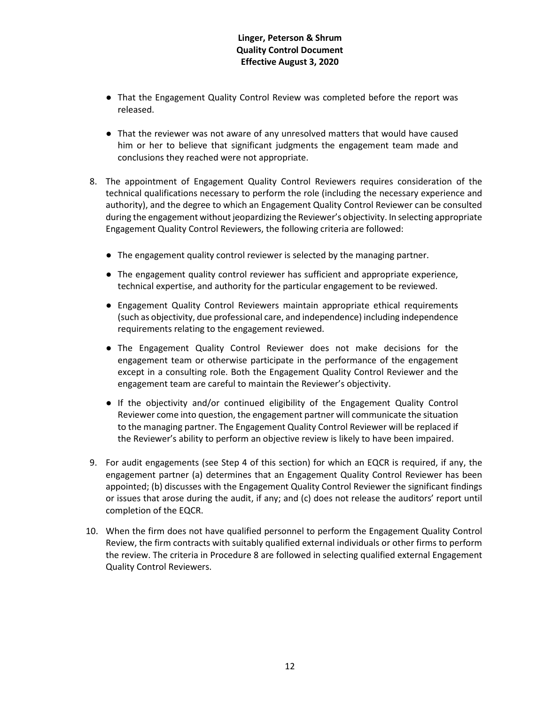- That the Engagement Quality Control Review was completed before the report was released.
- That the reviewer was not aware of any unresolved matters that would have caused him or her to believe that significant judgments the engagement team made and conclusions they reached were not appropriate.
- 8. The appointment of Engagement Quality Control Reviewers requires consideration of the technical qualifications necessary to perform the role (including the necessary experience and authority), and the degree to which an Engagement Quality Control Reviewer can be consulted during the engagement without jeopardizing the Reviewer's objectivity. In selecting appropriate Engagement Quality Control Reviewers, the following criteria are followed:
	- The engagement quality control reviewer is selected by the managing partner.
	- The engagement quality control reviewer has sufficient and appropriate experience, technical expertise, and authority for the particular engagement to be reviewed.
	- Engagement Quality Control Reviewers maintain appropriate ethical requirements (such as objectivity, due professional care, and independence) including independence requirements relating to the engagement reviewed.
	- The Engagement Quality Control Reviewer does not make decisions for the engagement team or otherwise participate in the performance of the engagement except in a consulting role. Both the Engagement Quality Control Reviewer and the engagement team are careful to maintain the Reviewer's objectivity.
	- If the objectivity and/or continued eligibility of the Engagement Quality Control Reviewer come into question, the engagement partner will communicate the situation to the managing partner. The Engagement Quality Control Reviewer will be replaced if the Reviewer's ability to perform an objective review is likely to have been impaired.
- 9. For audit engagements (see Step 4 of this section) for which an EQCR is required, if any, the engagement partner (a) determines that an Engagement Quality Control Reviewer has been appointed; (b) discusses with the Engagement Quality Control Reviewer the significant findings or issues that arose during the audit, if any; and (c) does not release the auditors' report until completion of the EQCR.
- 10. When the firm does not have qualified personnel to perform the Engagement Quality Control Review, the firm contracts with suitably qualified external individuals or other firms to perform the review. The criteria in Procedure 8 are followed in selecting qualified external Engagement Quality Control Reviewers.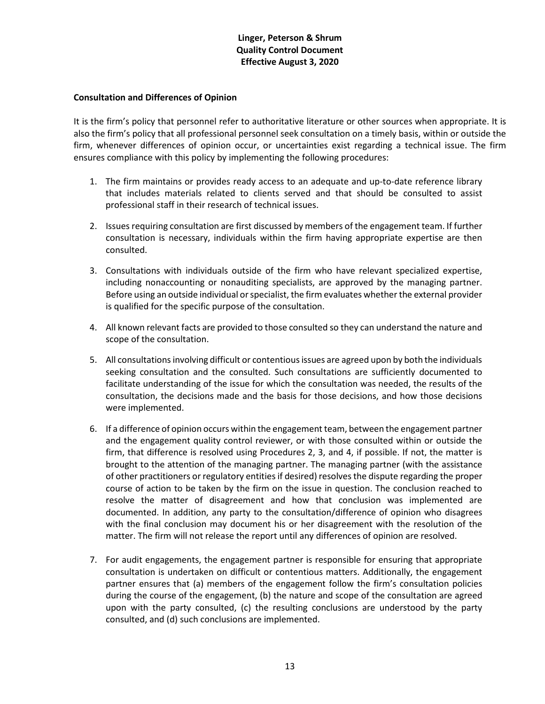### **Consultation and Differences of Opinion**

It is the firm's policy that personnel refer to authoritative literature or other sources when appropriate. It is also the firm's policy that all professional personnel seek consultation on a timely basis, within or outside the firm, whenever differences of opinion occur, or uncertainties exist regarding a technical issue. The firm ensures compliance with this policy by implementing the following procedures:

- 1. The firm maintains or provides ready access to an adequate and up-to-date reference library that includes materials related to clients served and that should be consulted to assist professional staff in their research of technical issues.
- 2. Issues requiring consultation are first discussed by members of the engagement team. If further consultation is necessary, individuals within the firm having appropriate expertise are then consulted.
- 3. Consultations with individuals outside of the firm who have relevant specialized expertise, including nonaccounting or nonauditing specialists, are approved by the managing partner. Before using an outside individual or specialist, the firm evaluates whether the external provider is qualified for the specific purpose of the consultation.
- 4. All known relevant facts are provided to those consulted so they can understand the nature and scope of the consultation.
- 5. All consultations involving difficult or contentious issues are agreed upon by both the individuals seeking consultation and the consulted. Such consultations are sufficiently documented to facilitate understanding of the issue for which the consultation was needed, the results of the consultation, the decisions made and the basis for those decisions, and how those decisions were implemented.
- 6. If a difference of opinion occurs within the engagement team, between the engagement partner and the engagement quality control reviewer, or with those consulted within or outside the firm, that difference is resolved using Procedures 2, 3, and 4, if possible. If not, the matter is brought to the attention of the managing partner. The managing partner (with the assistance of other practitioners or regulatory entities if desired) resolves the dispute regarding the proper course of action to be taken by the firm on the issue in question. The conclusion reached to resolve the matter of disagreement and how that conclusion was implemented are documented. In addition, any party to the consultation/difference of opinion who disagrees with the final conclusion may document his or her disagreement with the resolution of the matter. The firm will not release the report until any differences of opinion are resolved.
- 7. For audit engagements, the engagement partner is responsible for ensuring that appropriate consultation is undertaken on difficult or contentious matters. Additionally, the engagement partner ensures that (a) members of the engagement follow the firm's consultation policies during the course of the engagement, (b) the nature and scope of the consultation are agreed upon with the party consulted, (c) the resulting conclusions are understood by the party consulted, and (d) such conclusions are implemented.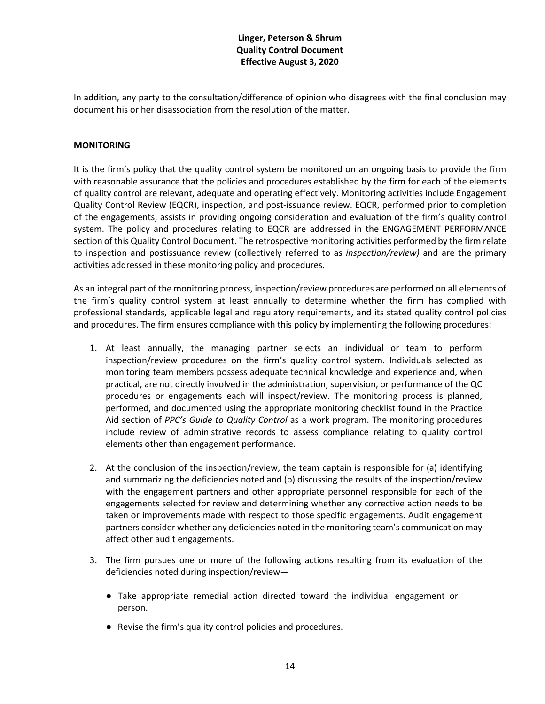In addition, any party to the consultation/difference of opinion who disagrees with the final conclusion may document his or her disassociation from the resolution of the matter.

### **MONITORING**

It is the firm's policy that the quality control system be monitored on an ongoing basis to provide the firm with reasonable assurance that the policies and procedures established by the firm for each of the elements of quality control are relevant, adequate and operating effectively. Monitoring activities include Engagement Quality Control Review (EQCR), inspection, and post-issuance review. EQCR, performed prior to completion of the engagements, assists in providing ongoing consideration and evaluation of the firm's quality control system. The policy and procedures relating to EQCR are addressed in the ENGAGEMENT PERFORMANCE section of this Quality Control Document. The retrospective monitoring activities performed by the firm relate to inspection and postissuance review (collectively referred to as *inspection/review)* and are the primary activities addressed in these monitoring policy and procedures.

As an integral part of the monitoring process, inspection/review procedures are performed on all elements of the firm's quality control system at least annually to determine whether the firm has complied with professional standards, applicable legal and regulatory requirements, and its stated quality control policies and procedures. The firm ensures compliance with this policy by implementing the following procedures:

- 1. At least annually, the managing partner selects an individual or team to perform inspection/review procedures on the firm's quality control system. Individuals selected as monitoring team members possess adequate technical knowledge and experience and, when practical, are not directly involved in the administration, supervision, or performance of the QC procedures or engagements each will inspect/review. The monitoring process is planned, performed, and documented using the appropriate monitoring checklist found in the Practice Aid section of *PPC's Guide to Quality Control* as a work program. The monitoring procedures include review of administrative records to assess compliance relating to quality control elements other than engagement performance.
- 2. At the conclusion of the inspection/review, the team captain is responsible for (a) identifying and summarizing the deficiencies noted and (b) discussing the results of the inspection/review with the engagement partners and other appropriate personnel responsible for each of the engagements selected for review and determining whether any corrective action needs to be taken or improvements made with respect to those specific engagements. Audit engagement partners consider whether any deficiencies noted in the monitoring team's communication may affect other audit engagements.
- 3. The firm pursues one or more of the following actions resulting from its evaluation of the deficiencies noted during inspection/review—
	- Take appropriate remedial action directed toward the individual engagement or person.
	- Revise the firm's quality control policies and procedures.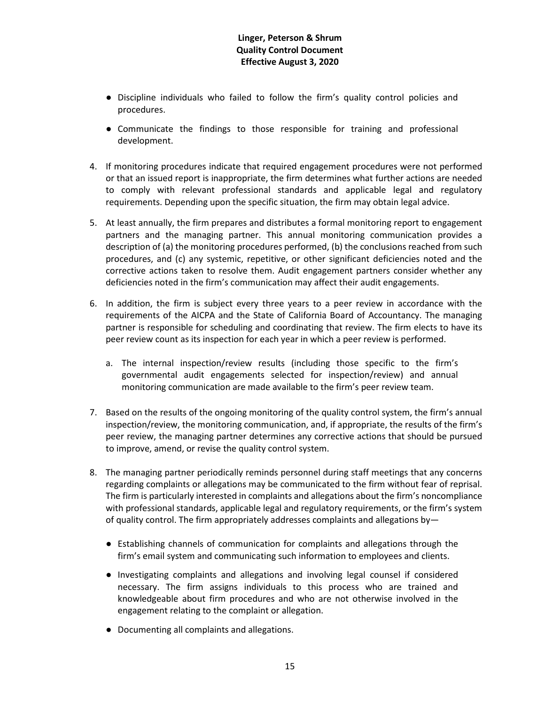- Discipline individuals who failed to follow the firm's quality control policies and procedures.
- Communicate the findings to those responsible for training and professional development.
- 4. If monitoring procedures indicate that required engagement procedures were not performed or that an issued report is inappropriate, the firm determines what further actions are needed to comply with relevant professional standards and applicable legal and regulatory requirements. Depending upon the specific situation, the firm may obtain legal advice.
- 5. At least annually, the firm prepares and distributes a formal monitoring report to engagement partners and the managing partner. This annual monitoring communication provides a description of (a) the monitoring procedures performed, (b) the conclusions reached from such procedures, and (c) any systemic, repetitive, or other significant deficiencies noted and the corrective actions taken to resolve them. Audit engagement partners consider whether any deficiencies noted in the firm's communication may affect their audit engagements.
- 6. In addition, the firm is subject every three years to a peer review in accordance with the requirements of the AICPA and the State of California Board of Accountancy. The managing partner is responsible for scheduling and coordinating that review. The firm elects to have its peer review count as its inspection for each year in which a peer review is performed.
	- a. The internal inspection/review results (including those specific to the firm's governmental audit engagements selected for inspection/review) and annual monitoring communication are made available to the firm's peer review team.
- 7. Based on the results of the ongoing monitoring of the quality control system, the firm's annual inspection/review, the monitoring communication, and, if appropriate, the results of the firm's peer review, the managing partner determines any corrective actions that should be pursued to improve, amend, or revise the quality control system.
- 8. The managing partner periodically reminds personnel during staff meetings that any concerns regarding complaints or allegations may be communicated to the firm without fear of reprisal. The firm is particularly interested in complaints and allegations about the firm's noncompliance with professional standards, applicable legal and regulatory requirements, or the firm's system of quality control. The firm appropriately addresses complaints and allegations by—
	- Establishing channels of communication for complaints and allegations through the firm's email system and communicating such information to employees and clients.
	- Investigating complaints and allegations and involving legal counsel if considered necessary. The firm assigns individuals to this process who are trained and knowledgeable about firm procedures and who are not otherwise involved in the engagement relating to the complaint or allegation.
	- Documenting all complaints and allegations.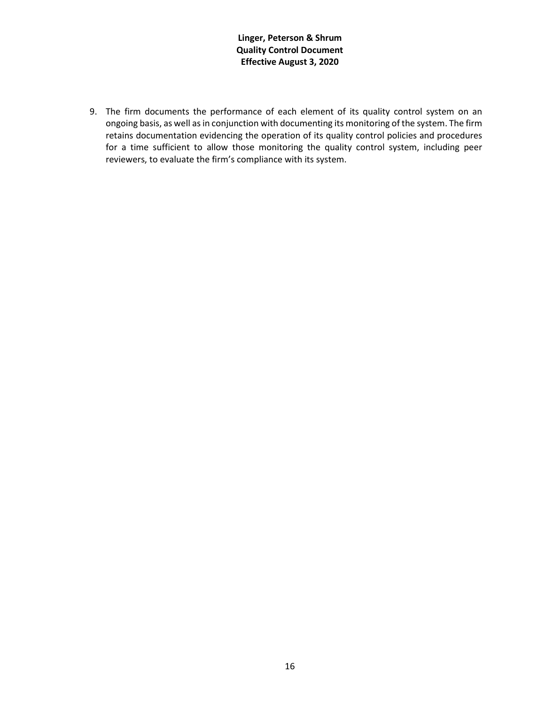9. The firm documents the performance of each element of its quality control system on an ongoing basis, as well as in conjunction with documenting its monitoring of the system. The firm retains documentation evidencing the operation of its quality control policies and procedures for a time sufficient to allow those monitoring the quality control system, including peer reviewers, to evaluate the firm's compliance with its system.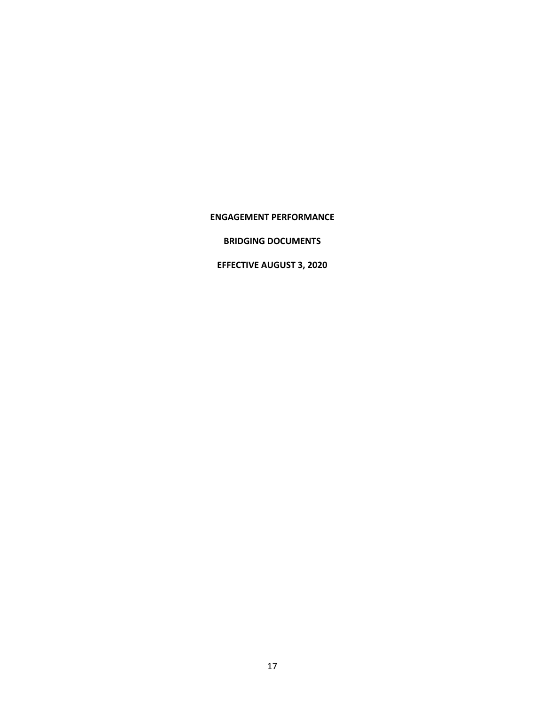### **ENGAGEMENT PERFORMANCE**

# **BRIDGING DOCUMENTS**

# **EFFECTIVE AUGUST 3, 2020**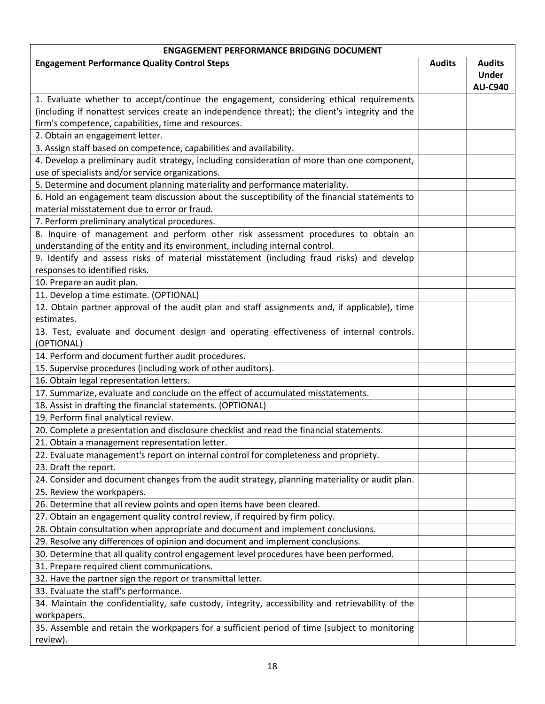| <b>ENGAGEMENT PERFORMANCE BRIDGING DOCUMENT</b>                                                    |               |                |  |  |
|----------------------------------------------------------------------------------------------------|---------------|----------------|--|--|
| <b>Engagement Performance Quality Control Steps</b>                                                | <b>Audits</b> | <b>Audits</b>  |  |  |
|                                                                                                    |               | <b>Under</b>   |  |  |
|                                                                                                    |               | <b>AU-C940</b> |  |  |
| 1. Evaluate whether to accept/continue the engagement, considering ethical requirements            |               |                |  |  |
| (including if nonattest services create an independence threat); the client's integrity and the    |               |                |  |  |
| firm's competence, capabilities, time and resources.                                               |               |                |  |  |
| 2. Obtain an engagement letter.                                                                    |               |                |  |  |
| 3. Assign staff based on competence, capabilities and availability.                                |               |                |  |  |
| 4. Develop a preliminary audit strategy, including consideration of more than one component,       |               |                |  |  |
| use of specialists and/or service organizations.                                                   |               |                |  |  |
| 5. Determine and document planning materiality and performance materiality.                        |               |                |  |  |
| 6. Hold an engagement team discussion about the susceptibility of the financial statements to      |               |                |  |  |
| material misstatement due to error or fraud.                                                       |               |                |  |  |
| 7. Perform preliminary analytical procedures.                                                      |               |                |  |  |
| 8. Inquire of management and perform other risk assessment procedures to obtain an                 |               |                |  |  |
| understanding of the entity and its environment, including internal control.                       |               |                |  |  |
| 9. Identify and assess risks of material misstatement (including fraud risks) and develop          |               |                |  |  |
| responses to identified risks.                                                                     |               |                |  |  |
| 10. Prepare an audit plan.                                                                         |               |                |  |  |
| 11. Develop a time estimate. (OPTIONAL)                                                            |               |                |  |  |
| 12. Obtain partner approval of the audit plan and staff assignments and, if applicable), time      |               |                |  |  |
| estimates.                                                                                         |               |                |  |  |
| 13. Test, evaluate and document design and operating effectiveness of internal controls.           |               |                |  |  |
| (OPTIONAL)                                                                                         |               |                |  |  |
| 14. Perform and document further audit procedures.                                                 |               |                |  |  |
| 15. Supervise procedures (including work of other auditors).                                       |               |                |  |  |
| 16. Obtain legal representation letters.                                                           |               |                |  |  |
| 17. Summarize, evaluate and conclude on the effect of accumulated misstatements.                   |               |                |  |  |
| 18. Assist in drafting the financial statements. (OPTIONAL)                                        |               |                |  |  |
| 19. Perform final analytical review.                                                               |               |                |  |  |
| 20. Complete a presentation and disclosure checklist and read the financial statements.            |               |                |  |  |
| 21. Obtain a management representation letter.                                                     |               |                |  |  |
| 22. Evaluate management's report on internal control for completeness and propriety.               |               |                |  |  |
| 23. Draft the report.                                                                              |               |                |  |  |
| 24. Consider and document changes from the audit strategy, planning materiality or audit plan.     |               |                |  |  |
| 25. Review the workpapers.                                                                         |               |                |  |  |
| 26. Determine that all review points and open items have been cleared.                             |               |                |  |  |
| 27. Obtain an engagement quality control review, if required by firm policy.                       |               |                |  |  |
| 28. Obtain consultation when appropriate and document and implement conclusions.                   |               |                |  |  |
| 29. Resolve any differences of opinion and document and implement conclusions.                     |               |                |  |  |
| 30. Determine that all quality control engagement level procedures have been performed.            |               |                |  |  |
| 31. Prepare required client communications.                                                        |               |                |  |  |
| 32. Have the partner sign the report or transmittal letter.                                        |               |                |  |  |
| 33. Evaluate the staff's performance.                                                              |               |                |  |  |
| 34. Maintain the confidentiality, safe custody, integrity, accessibility and retrievability of the |               |                |  |  |
| workpapers.                                                                                        |               |                |  |  |
| 35. Assemble and retain the workpapers for a sufficient period of time (subject to monitoring      |               |                |  |  |
| review).                                                                                           |               |                |  |  |